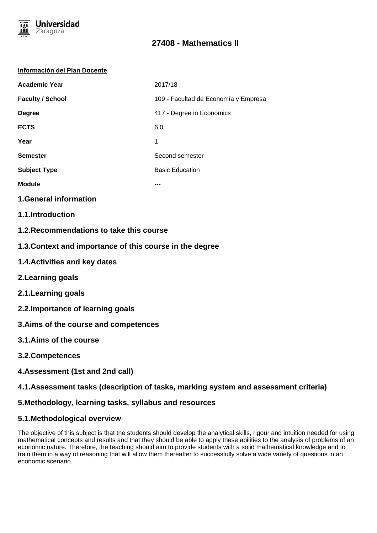

#### **Información del Plan Docente**

| <b>Academic Year</b>    | 2017/18                              |
|-------------------------|--------------------------------------|
| <b>Faculty / School</b> | 109 - Facultad de Economía y Empresa |
| <b>Degree</b>           | 417 - Degree in Economics            |
| <b>ECTS</b>             | 6.0                                  |
| Year                    | 1                                    |
| <b>Semester</b>         | Second semester                      |
| <b>Subject Type</b>     | <b>Basic Education</b>               |
| <b>Module</b>           |                                      |
|                         |                                      |

**1.General information**

- **1.1.Introduction**
- **1.2.Recommendations to take this course**
- **1.3.Context and importance of this course in the degree**
- **1.4.Activities and key dates**
- **2.Learning goals**
- **2.1.Learning goals**
- **2.2.Importance of learning goals**
- **3.Aims of the course and competences**
- **3.1.Aims of the course**
- **3.2.Competences**
- **4.Assessment (1st and 2nd call)**

## **4.1.Assessment tasks (description of tasks, marking system and assessment criteria)**

## **5.Methodology, learning tasks, syllabus and resources**

## **5.1.Methodological overview**

The objective of this subject is that the students should develop the analytical skills, rigour and intuition needed for using mathematical concepts and results and that they should be able to apply these abilities to the analysis of problems of an economic nature. Therefore, the teaching should aim to provide students with a solid mathematical knowledge and to train them in a way of reasoning that will allow them thereafter to successfully solve a wide variety of questions in an economic scenario.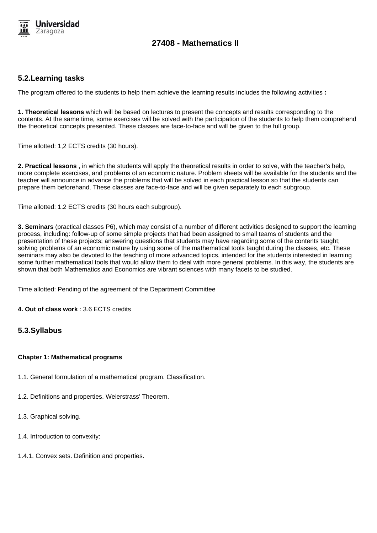

## **5.2.Learning tasks**

The program offered to the students to help them achieve the learning results includes the following activities **:**

**1. Theoretical lessons** which will be based on lectures to present the concepts and results corresponding to the contents. At the same time, some exercises will be solved with the participation of the students to help them comprehend the theoretical concepts presented. These classes are face-to-face and will be given to the full group.

Time allotted: 1,2 ECTS credits (30 hours).

**2. Practical lessons** , in which the students will apply the theoretical results in order to solve, with the teacher's help, more complete exercises, and problems of an economic nature. Problem sheets will be available for the students and the teacher will announce in advance the problems that will be solved in each practical lesson so that the students can prepare them beforehand. These classes are face-to-face and will be given separately to each subgroup.

Time allotted: 1.2 ECTS credits (30 hours each subgroup).

**3. Seminars** (practical classes P6), which may consist of a number of different activities designed to support the learning process, including: follow-up of some simple projects that had been assigned to small teams of students and the presentation of these projects; answering questions that students may have regarding some of the contents taught; solving problems of an economic nature by using some of the mathematical tools taught during the classes, etc. These seminars may also be devoted to the teaching of more advanced topics, intended for the students interested in learning some further mathematical tools that would allow them to deal with more general problems. In this way, the students are shown that both Mathematics and Economics are vibrant sciences with many facets to be studied.

Time allotted: Pending of the agreement of the Department Committee

**4. Out of class work** : 3.6 ECTS credits

## **5.3.Syllabus**

### **Chapter 1: Mathematical programs**

- 1.1. General formulation of a mathematical program. Classification.
- 1.2. Definitions and properties. Weierstrass' Theorem.
- 1.3. Graphical solving.
- 1.4. Introduction to convexity:
- 1.4.1. Convex sets. Definition and properties.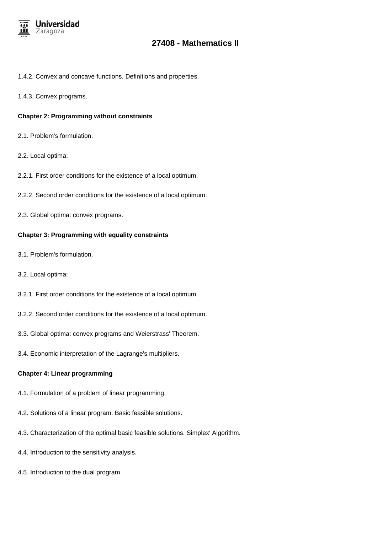

### 1.4.2. Convex and concave functions. Definitions and properties.

1.4.3. Convex programs.

#### **Chapter 2: Programming without constraints**

- 2.1. Problem's formulation.
- 2.2. Local optima:
- 2.2.1. First order conditions for the existence of a local optimum.
- 2.2.2. Second order conditions for the existence of a local optimum.
- 2.3. Global optima: convex programs.

#### **Chapter 3: Programming with equality constraints**

- 3.1. Problem's formulation.
- 3.2. Local optima:
- 3.2.1. First order conditions for the existence of a local optimum.
- 3.2.2. Second order conditions for the existence of a local optimum.
- 3.3. Global optima: convex programs and Weierstrass' Theorem.
- 3.4. Economic interpretation of the Lagrange's multipliers.

#### **Chapter 4: Linear programming**

- 4.1. Formulation of a problem of linear programming.
- 4.2. Solutions of a linear program. Basic feasible solutions.
- 4.3. Characterization of the optimal basic feasible solutions. Simplex' Algorithm.
- 4.4. Introduction to the sensitivity analysis.
- 4.5. Introduction to the dual program.